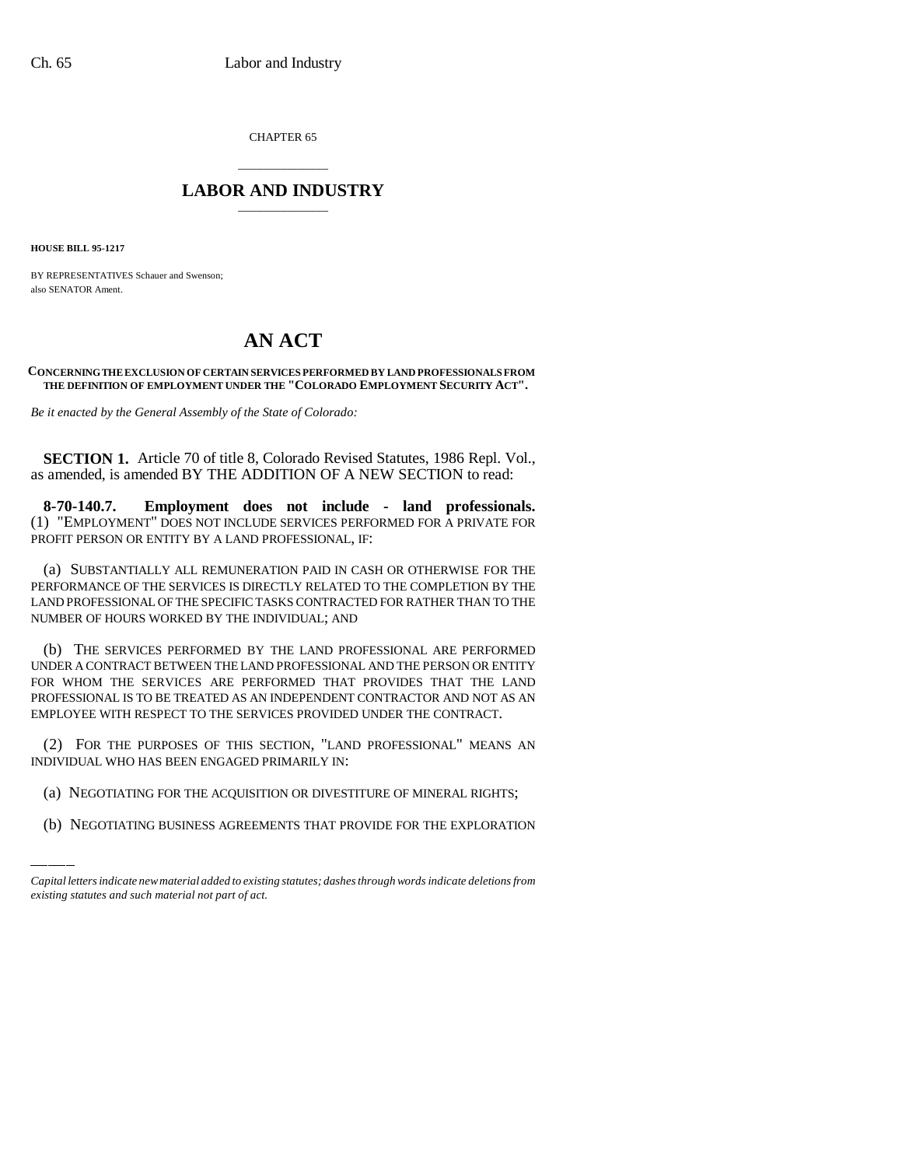CHAPTER 65

## \_\_\_\_\_\_\_\_\_\_\_\_\_\_\_ **LABOR AND INDUSTRY** \_\_\_\_\_\_\_\_\_\_\_\_\_\_\_

**HOUSE BILL 95-1217**

BY REPRESENTATIVES Schauer and Swenson; also SENATOR Ament.

## **AN ACT**

## **CONCERNING THE EXCLUSION OF CERTAIN SERVICES PERFORMED BY LAND PROFESSIONALS FROM THE DEFINITION OF EMPLOYMENT UNDER THE "COLORADO EMPLOYMENT SECURITY ACT".**

*Be it enacted by the General Assembly of the State of Colorado:*

**SECTION 1.** Article 70 of title 8, Colorado Revised Statutes, 1986 Repl. Vol., as amended, is amended BY THE ADDITION OF A NEW SECTION to read:

**8-70-140.7. Employment does not include - land professionals.** (1) "EMPLOYMENT" DOES NOT INCLUDE SERVICES PERFORMED FOR A PRIVATE FOR PROFIT PERSON OR ENTITY BY A LAND PROFESSIONAL, IF:

(a) SUBSTANTIALLY ALL REMUNERATION PAID IN CASH OR OTHERWISE FOR THE PERFORMANCE OF THE SERVICES IS DIRECTLY RELATED TO THE COMPLETION BY THE LAND PROFESSIONAL OF THE SPECIFIC TASKS CONTRACTED FOR RATHER THAN TO THE NUMBER OF HOURS WORKED BY THE INDIVIDUAL; AND

(b) THE SERVICES PERFORMED BY THE LAND PROFESSIONAL ARE PERFORMED UNDER A CONTRACT BETWEEN THE LAND PROFESSIONAL AND THE PERSON OR ENTITY FOR WHOM THE SERVICES ARE PERFORMED THAT PROVIDES THAT THE LAND PROFESSIONAL IS TO BE TREATED AS AN INDEPENDENT CONTRACTOR AND NOT AS AN EMPLOYEE WITH RESPECT TO THE SERVICES PROVIDED UNDER THE CONTRACT.

(2) TOK THE TON OSES OF THIS SECTION, EARNIFULAL WHO HAS BEEN ENGAGED PRIMARILY IN: (2) FOR THE PURPOSES OF THIS SECTION, "LAND PROFESSIONAL" MEANS AN

- (a) NEGOTIATING FOR THE ACQUISITION OR DIVESTITURE OF MINERAL RIGHTS;
- (b) NEGOTIATING BUSINESS AGREEMENTS THAT PROVIDE FOR THE EXPLORATION

*Capital letters indicate new material added to existing statutes; dashes through words indicate deletions from existing statutes and such material not part of act.*